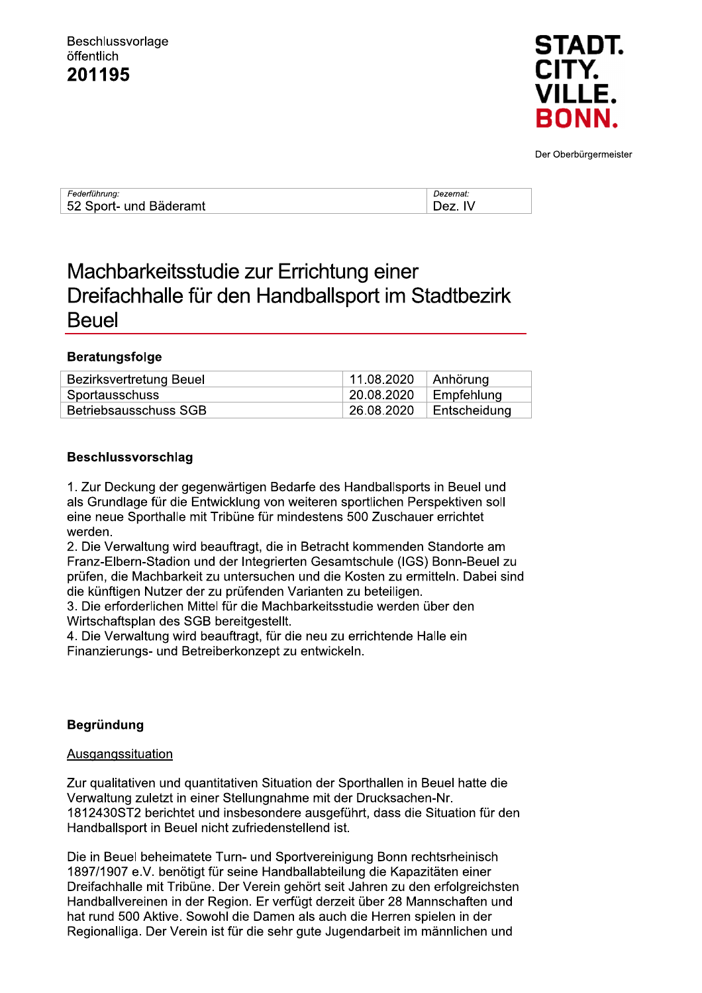

Der Oberbürgermeister

| Federführung:          | Dezernat    |
|------------------------|-------------|
| 52 Sport- und Bäderamt | IV<br>⊤רם Ω |

# Machbarkeitsstudie zur Errichtung einer Dreifachhalle für den Handballsport im Stadtbezirk **Beuel**

#### **Beratungsfolge**

| Bezirksvertretung Beuel | 11.08.2020 | $\vert$ Anhörung |
|-------------------------|------------|------------------|
| Sportausschuss          | 20.08.2020 | Empfehlung       |
| Betriebsausschuss SGB   | 26.08.2020 | Entscheidung     |

#### **Beschlussvorschlag**

1. Zur Deckung der gegenwärtigen Bedarfe des Handballsports in Beuel und als Grundlage für die Entwicklung von weiteren sportlichen Perspektiven soll eine neue Sporthalle mit Tribüne für mindestens 500 Zuschauer errichtet werden.

2. Die Verwaltung wird beauftragt, die in Betracht kommenden Standorte am Franz-Elbern-Stadion und der Integrierten Gesamtschule (IGS) Bonn-Beuel zu prüfen, die Machbarkeit zu untersuchen und die Kosten zu ermitteln. Dabei sind die künftigen Nutzer der zu prüfenden Varianten zu beteiligen.

3. Die erforderlichen Mittel für die Machbarkeitsstudie werden über den Wirtschaftsplan des SGB bereitgestellt.

4. Die Verwaltung wird beauftragt, für die neu zu errichtende Halle ein Finanzierungs- und Betreiberkonzept zu entwickeln.

#### **Begründung**

#### Ausgangssituation

Zur qualitativen und quantitativen Situation der Sporthallen in Beuel hatte die Verwaltung zuletzt in einer Stellungnahme mit der Drucksachen-Nr. 1812430ST2 berichtet und insbesondere ausgeführt, dass die Situation für den Handballsport in Beuel nicht zufriedenstellend ist.

Die in Beuel beheimatete Turn- und Sportvereinigung Bonn rechtsrheinisch 1897/1907 e.V. benötigt für seine Handballabteilung die Kapazitäten einer Dreifachhalle mit Tribüne. Der Verein gehört seit Jahren zu den erfolgreichsten Handballvereinen in der Region. Er verfügt derzeit über 28 Mannschaften und hat rund 500 Aktive. Sowohl die Damen als auch die Herren spielen in der Regionalliga. Der Verein ist für die sehr gute Jugendarbeit im männlichen und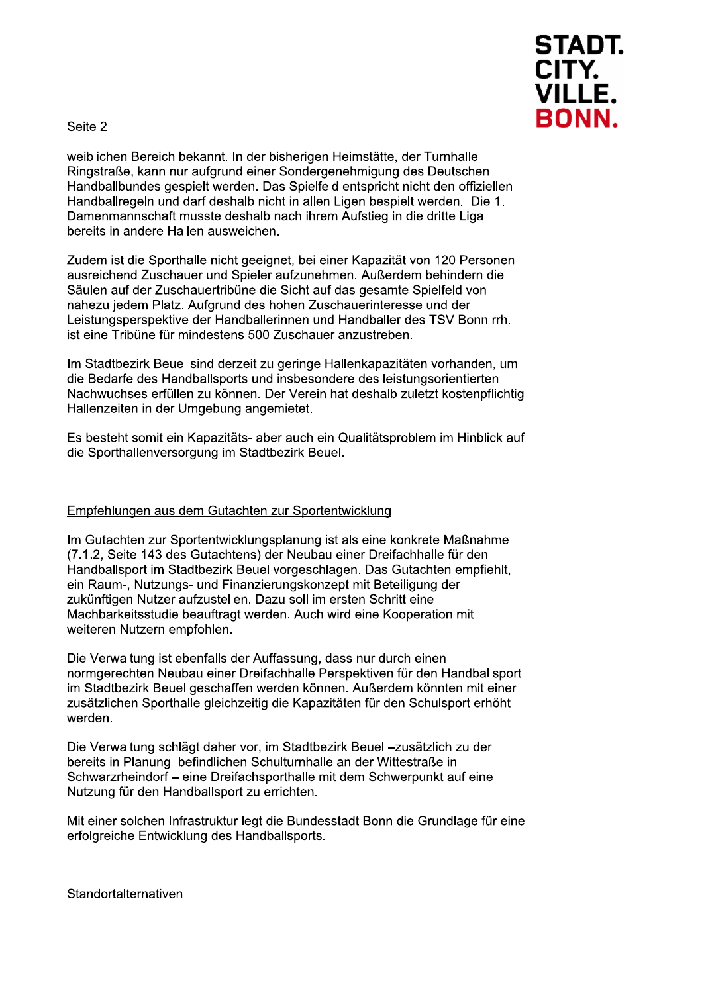

Seite 2

weiblichen Bereich bekannt. In der bisherigen Heimstätte, der Turnhalle Ringstraße, kann nur aufgrund einer Sondergenehmigung des Deutschen Handballbundes gespielt werden. Das Spielfeld entspricht nicht den offiziellen Handballregeln und darf deshalb nicht in allen Ligen bespielt werden. Die 1. Damenmannschaft musste deshalb nach ihrem Aufstieg in die dritte Liga bereits in andere Hallen ausweichen.

Zudem ist die Sporthalle nicht geeignet, bei einer Kapazität von 120 Personen ausreichend Zuschauer und Spieler aufzunehmen. Außerdem behindern die Säulen auf der Zuschauertribüne die Sicht auf das gesamte Spielfeld von nahezu jedem Platz. Aufgrund des hohen Zuschauerinteresse und der Leistungsperspektive der Handballerinnen und Handballer des TSV Bonn rrh. ist eine Tribüne für mindestens 500 Zuschauer anzustreben.

Im Stadtbezirk Beuel sind derzeit zu geringe Hallenkapazitäten vorhanden, um die Bedarfe des Handballsports und insbesondere des leistungsorientierten Nachwuchses erfüllen zu können. Der Verein hat deshalb zuletzt kostenpflichtig Hallenzeiten in der Umgebung angemietet.

Es besteht somit ein Kapazitäts- aber auch ein Qualitätsproblem im Hinblick auf die Sporthallenversorgung im Stadtbezirk Beuel.

#### Empfehlungen aus dem Gutachten zur Sportentwicklung

Im Gutachten zur Sportentwicklungsplanung ist als eine konkrete Maßnahme (7.1.2, Seite 143 des Gutachtens) der Neubau einer Dreifachhalle für den Handballsport im Stadtbezirk Beuel vorgeschlagen. Das Gutachten empfiehlt, ein Raum-, Nutzungs- und Finanzierungskonzept mit Beteiligung der zukünftigen Nutzer aufzustellen. Dazu soll im ersten Schritt eine Machbarkeitsstudie beauftragt werden. Auch wird eine Kooperation mit weiteren Nutzern empfohlen.

Die Verwaltung ist ebenfalls der Auffassung, dass nur durch einen normgerechten Neubau einer Dreifachhalle Perspektiven für den Handballsport im Stadtbezirk Beuel geschaffen werden können. Außerdem könnten mit einer zusätzlichen Sporthalle gleichzeitig die Kapazitäten für den Schulsport erhöht werden.

Die Verwaltung schlägt daher vor, im Stadtbezirk Beuel -zusätzlich zu der bereits in Planung befindlichen Schulturnhalle an der Wittestraße in Schwarzrheindorf - eine Dreifachsporthalle mit dem Schwerpunkt auf eine Nutzung für den Handballsport zu errichten.

Mit einer solchen Infrastruktur legt die Bundesstadt Bonn die Grundlage für eine erfolgreiche Entwicklung des Handballsports.

#### Standortalternativen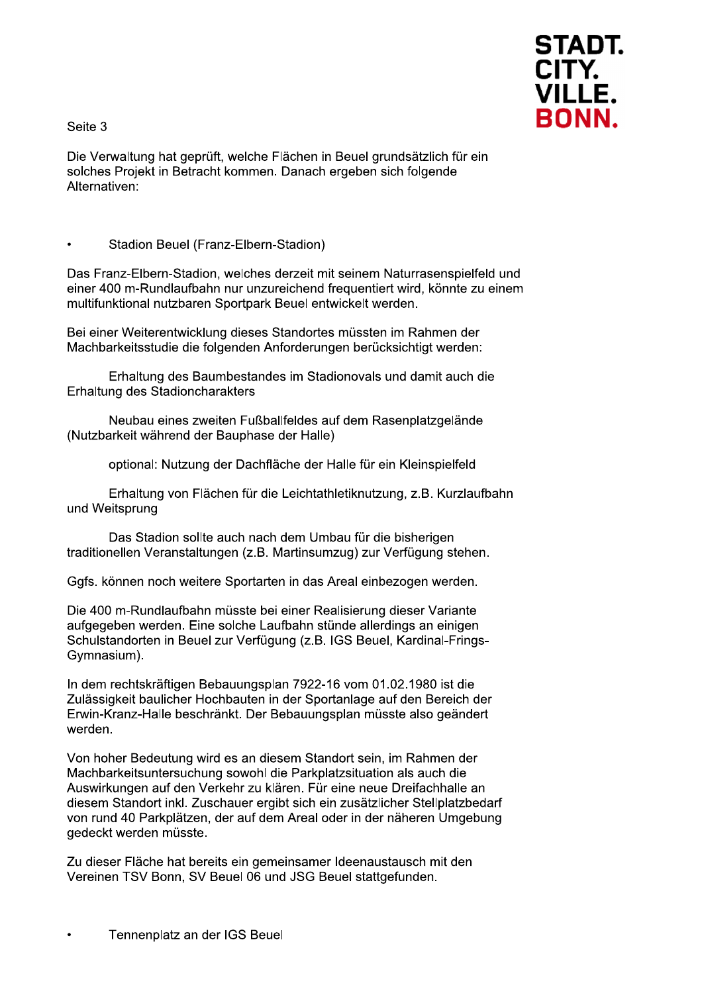Seite 3



Die Verwaltung hat geprüft, welche Flächen in Beuel grundsätzlich für ein solches Projekt in Betracht kommen. Danach ergeben sich folgende Alternativen:

Stadion Beuel (Franz-Elbern-Stadion)

Das Franz-Elbern-Stadion, welches derzeit mit seinem Naturrasenspielfeld und einer 400 m-Rundlaufbahn nur unzureichend frequentiert wird, könnte zu einem multifunktional nutzbaren Sportpark Beuel entwickelt werden.

Bei einer Weiterentwicklung dieses Standortes müssten im Rahmen der Machbarkeitsstudie die folgenden Anforderungen berücksichtigt werden:

Erhaltung des Baumbestandes im Stadionovals und damit auch die Erhaltung des Stadioncharakters

Neubau eines zweiten Fußballfeldes auf dem Rasenplatzgelände (Nutzbarkeit während der Bauphase der Halle)

optional: Nutzung der Dachfläche der Halle für ein Kleinspielfeld

Erhaltung von Flächen für die Leichtathletiknutzung, z.B. Kurzlaufbahn und Weitsprung

Das Stadion sollte auch nach dem Umbau für die bisherigen traditionellen Veranstaltungen (z.B. Martinsumzug) zur Verfügung stehen.

Ggfs. können noch weitere Sportarten in das Areal einbezogen werden.

Die 400 m-Rundlaufbahn müsste bei einer Realisierung dieser Variante aufgegeben werden. Eine solche Laufbahn stünde allerdings an einigen Schulstandorten in Beuel zur Verfügung (z.B. IGS Beuel, Kardinal-Frings-Gymnasium).

In dem rechtskräftigen Bebauungsplan 7922-16 vom 01.02.1980 ist die Zulässigkeit baulicher Hochbauten in der Sportanlage auf den Bereich der Erwin-Kranz-Halle beschränkt. Der Bebauungsplan müsste also geändert werden.

Von hoher Bedeutung wird es an diesem Standort sein, im Rahmen der Machbarkeitsuntersuchung sowohl die Parkplatzsituation als auch die Auswirkungen auf den Verkehr zu klären. Für eine neue Dreifachhalle an diesem Standort inkl. Zuschauer ergibt sich ein zusätzlicher Stellplatzbedarf von rund 40 Parkplätzen, der auf dem Areal oder in der näheren Umgebung gedeckt werden müsste.

Zu dieser Fläche hat bereits ein gemeinsamer Ideenaustausch mit den Vereinen TSV Bonn, SV Beuel 06 und JSG Beuel stattgefunden.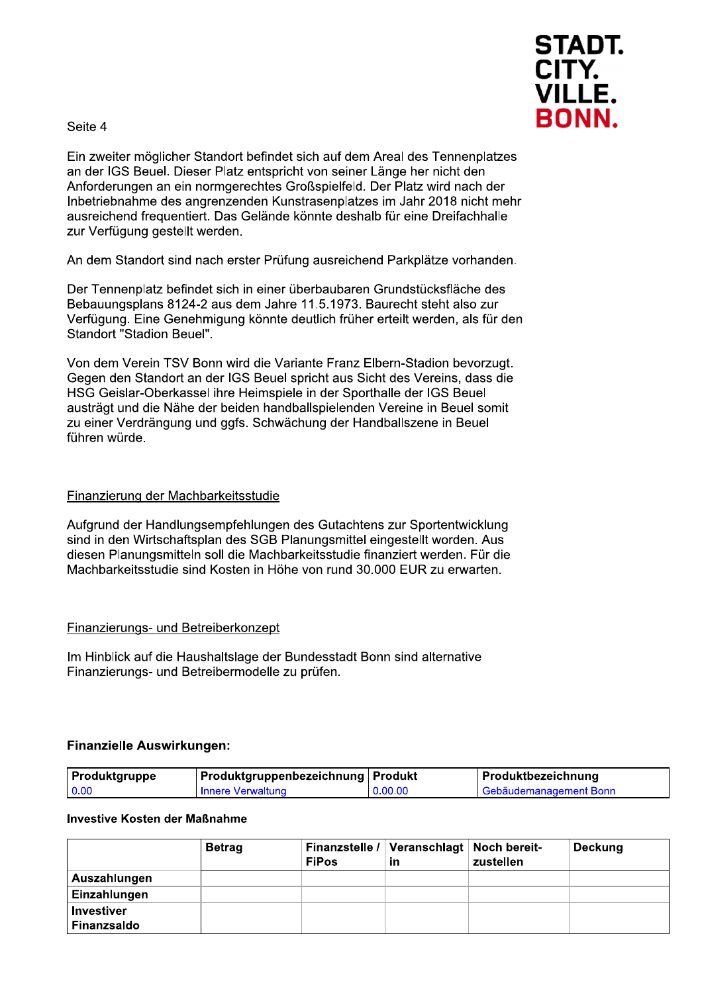



Ein zweiter möglicher Standort befindet sich auf dem Areal des Tennenplatzes an der IGS Beuel. Dieser Platz entspricht von seiner Länge her nicht den Anforderungen an ein normgerechtes Großspielfeld. Der Platz wird nach der Inbetriebnahme des angrenzenden Kunstrasenplatzes im Jahr 2018 nicht mehr Sich auf dem Areal des Tennenplatzes<br>t von seiner Länge her nicht den<br>oßspielfeld. Der Platz wird nach der<br>strasenplatzes im Jahr 2018 nicht mehr<br>önnte deshalb für eine Dreifachhalle<br>ng ausreichend Parkplätze vorhanden.<br>be ausreichend frequentiert. Das Gelände könnte deshalb für eine Dreifachhalle zur Verfügung gestellt werden.

An dem Standort sind nach erster Prüfung ausreichend Parkplätze vorhanden.

Der Tennenplatz befindet sich in einer überbaubaren Grui e 11.5.1973. Baurecht steht also zur Verfügung. Eine Genehmigung könnte deutlich früher erteilt werden, als für den Standort "Stadion Beuel".

Anforderungen an ein normgerechtes Großspielfeld. Der Platz wird nach der<br>
Inbetriebnahme des angrenzenden Kunstrasenplatzes im Jahr 2018 nicht mehl<br>
ausreichend frequentiert. Das Gelände könnte deshalb für eine Dreifachha Von dem Verein TSV Bonn wird die Variante Franz Elbern-Stadion bevorzugt. Gegen den Standort an der IGS Beuel spricht aus Sicht des Vereins, dass die HSG Geislar-Oberkassel ihre Heimspiele in der Sporthalle der IGS Beuel austrägt und die Nähe der beiden handballspielenden Vereine in Beuel somit zu einer Verdrängung und gafs. Schwächung der Handballszene in Beuel führen würde.

#### Finanzierung der Machbarkeitsstudie

Aufgrund der Handlungsempfehlungen des Gutachtens zur Sportentwicklung sind in den Wirtschaftsplan des SGB Planungsmittel eingestellt worden. Aus diesen Planungsmitteln soll die Machbarkeitsstudie finanziert werden. Für die Machbarkeitsstudie sind Kosten in Höhe von rund 30.000 EUR zu erwarten.

#### Finanzierungs- und Betreiberkonzept

Im Hinblick auf die Haushaltslage der Bundesstadt Bonn sind alternative Finanzierungs- und Betreibermodelle zu prüfen.

#### Finanzielle Auswirkungen:

| Produktgruppe | Produktgruppenbezeichnung   Produkt |         | Produktbezeichnung     |
|---------------|-------------------------------------|---------|------------------------|
| 0.00          | I Innere Verwaltung                 | 0.00.00 | Gebäudemanagement Bonn |

#### Investive Kosten der Maßnahme

|                   | <b>Betrag</b> | <b>FiPos</b> | Finanzstelle /   Veranschlagt   Noch bereit-<br>ın | zustellen | Deckung |
|-------------------|---------------|--------------|----------------------------------------------------|-----------|---------|
| Auszahlungen      |               |              |                                                    |           |         |
| Einzahlungen      |               |              |                                                    |           |         |
| <b>Investiver</b> |               |              |                                                    |           |         |
| Finanzsaldo       |               |              |                                                    |           |         |